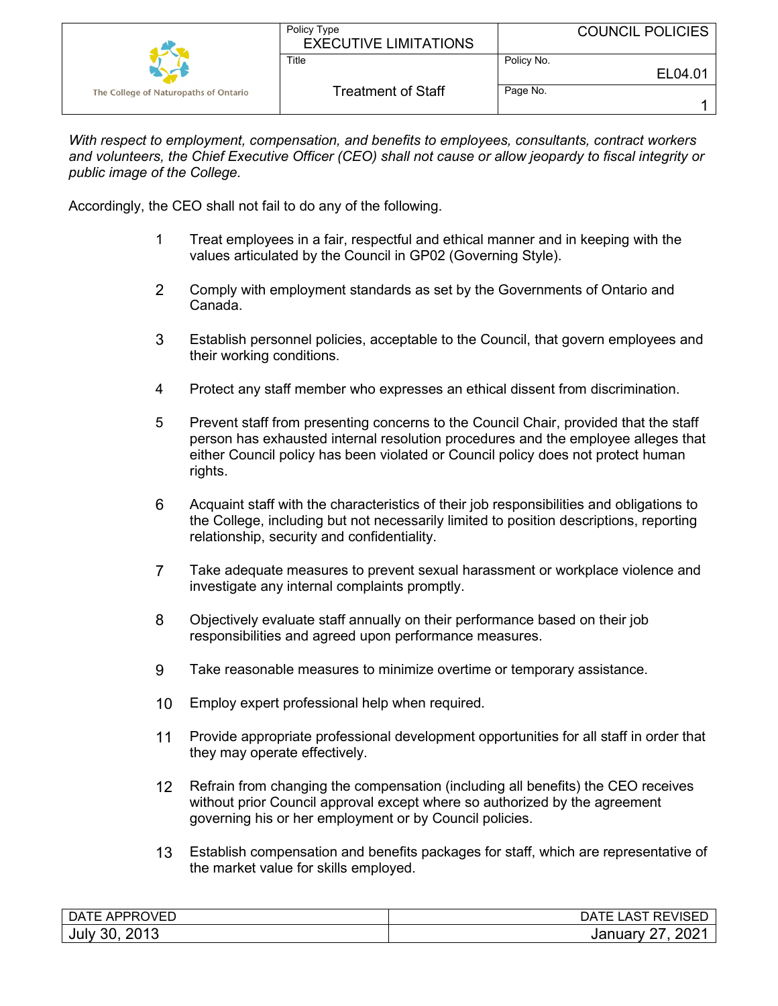|                                       | Policy Type<br><b>EXECUTIVE LIMITATIONS</b> | <b>COUNCIL POLICIES</b> |
|---------------------------------------|---------------------------------------------|-------------------------|
|                                       | Title                                       | Policy No.<br>EL04.01   |
| The College of Naturopaths of Ontario | <b>Treatment of Staff</b>                   | Page No.                |

*With respect to employment, compensation, and benefits to employees, consultants, contract workers and volunteers, the Chief Executive Officer (CEO) shall not cause or allow jeopardy to fiscal integrity or public image of the College.*

Accordingly, the CEO shall not fail to do any of the following.

- 1 Treat employees in a fair, respectful and ethical manner and in keeping with the values articulated by the Council in GP02 (Governing Style).
- 2 Comply with employment standards as set by the Governments of Ontario and Canada.
- 3 Establish personnel policies, acceptable to the Council, that govern employees and their working conditions.
- 4 Protect any staff member who expresses an ethical dissent from discrimination.
- 5 Prevent staff from presenting concerns to the Council Chair, provided that the staff person has exhausted internal resolution procedures and the employee alleges that either Council policy has been violated or Council policy does not protect human rights.
- 6 Acquaint staff with the characteristics of their job responsibilities and obligations to the College, including but not necessarily limited to position descriptions, reporting relationship, security and confidentiality.
- 7 Take adequate measures to prevent sexual harassment or workplace violence and investigate any internal complaints promptly.
- 8 Objectively evaluate staff annually on their performance based on their job responsibilities and agreed upon performance measures.
- 9 Take reasonable measures to minimize overtime or temporary assistance.
- 10 Employ expert professional help when required.
- 11 Provide appropriate professional development opportunities for all staff in order that they may operate effectively.
- 12 Refrain from changing the compensation (including all benefits) the CEO receives without prior Council approval except where so authorized by the agreement governing his or her employment or by Council policies.
- 13 Establish compensation and benefits packages for staff, which are representative of the market value for skills employed.

| <b>APPROVED</b><br>DATE | REVISED<br>AC.<br>⊥⊢<br>-AS |
|-------------------------|-----------------------------|
| 2013                    | 202                         |
| 30                      | ,,                          |
| July                    | Januar                      |